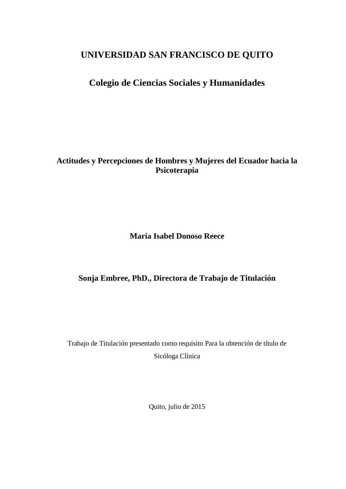# **UNIVERSIDAD SAN FRANCISCO DE QUITO**

# **Colegio de Ciencias Sociales y Humanidades**

**Actitudes y Percepciones de Hombres y Mujeres del Ecuador hacia la Psicoterapia**

**María Isabel Donoso Reece**

# **Sonja Embree, PhD., Directora de Trabajo de Titulación**

Trabajo de Titulación presentado como requisito Para la obtención de título de Sicóloga Clínica

Quito, julio de 2015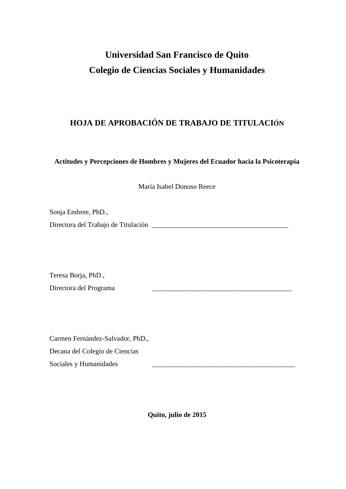# **Universidad San Francisco de Quito Colegio de Ciencias Sociales y Humanidades**

# **HOJA DE APROBACIÓN DE TRABAJO DE TITULACIÓN**

**Actitudes y Percepciones de Hombres y Mujeres del Ecuador hacia la Psicoterapia**

María Isabel Donoso Reece

Sonja Embree, PhD.,

Directora del Trabajo de Titulación \_\_\_\_\_\_\_\_\_\_\_\_\_\_\_\_\_\_\_\_\_\_\_\_\_\_\_\_\_\_\_\_\_\_\_\_\_\_\_

Teresa Borja, PhD., Directora del Programa

Carmen Fernández-Salvador, PhD., Decana del Colegio de Ciencias Sociales y Humanidades

**Quito, julio de 2015**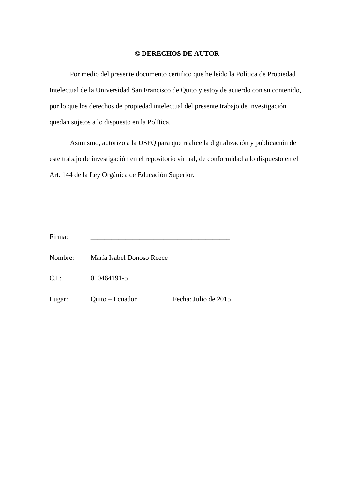## **© DERECHOS DE AUTOR**

Por medio del presente documento certifico que he leído la Política de Propiedad Intelectual de la Universidad San Francisco de Quito y estoy de acuerdo con su contenido, por lo que los derechos de propiedad intelectual del presente trabajo de investigación quedan sujetos a lo dispuesto en la Política.

Asimismo, autorizo a la USFQ para que realice la digitalización y publicación de este trabajo de investigación en el repositorio virtual, de conformidad a lo dispuesto en el Art. 144 de la Ley Orgánica de Educación Superior.

Firma: \_\_\_\_\_\_\_\_\_\_\_\_\_\_\_\_\_\_\_\_\_\_\_\_\_\_\_\_\_\_\_\_\_\_\_\_\_\_\_\_

Nombre: María Isabel Donoso Reece

C.I.: 010464191-5

Lugar: Quito – Ecuador Fecha: Julio de 2015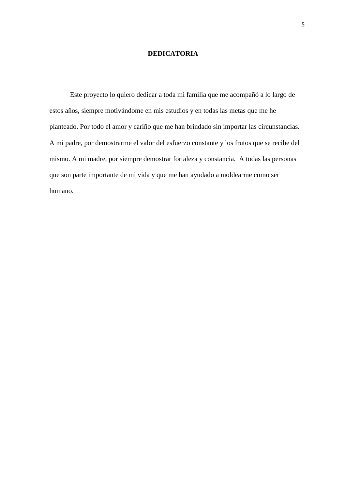### **DEDICATORIA**

Este proyecto lo quiero dedicar a toda mi familia que me acompañó a lo largo de estos años, siempre motivándome en mis estudios y en todas las metas que me he planteado. Por todo el amor y cariño que me han brindado sin importar las circunstancias. A mi padre, por demostrarme el valor del esfuerzo constante y los frutos que se recibe del mismo. A mi madre, por siempre demostrar fortaleza y constancia. A todas las personas que son parte importante de mi vida y que me han ayudado a moldearme como ser humano.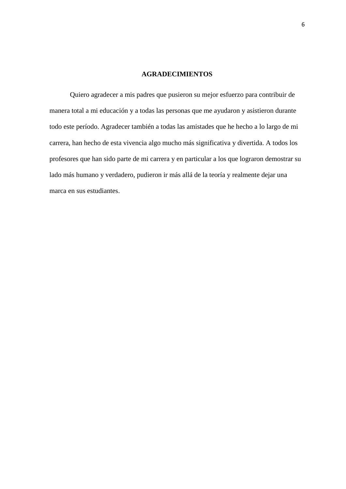## **AGRADECIMIENTOS**

Quiero agradecer a mis padres que pusieron su mejor esfuerzo para contribuir de manera total a mi educación y a todas las personas que me ayudaron y asistieron durante todo este período. Agradecer también a todas las amistades que he hecho a lo largo de mi carrera, han hecho de esta vivencia algo mucho más significativa y divertida. A todos los profesores que han sido parte de mi carrera y en particular a los que lograron demostrar su lado más humano y verdadero, pudieron ir más allá de la teoría y realmente dejar una marca en sus estudiantes.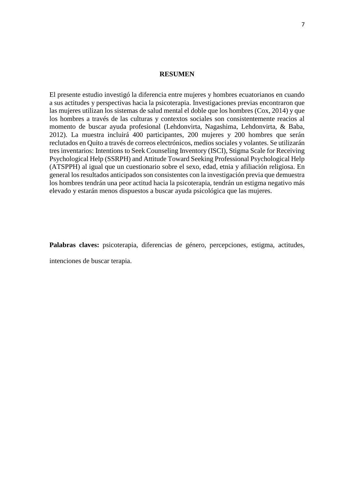### **RESUMEN**

El presente estudio investigó la diferencia entre mujeres y hombres ecuatorianos en cuando a sus actitudes y perspectivas hacia la psicoterapia. Investigaciones previas encontraron que las mujeres utilizan los sistemas de salud mental el doble que los hombres (Cox, 2014) y que los hombres a través de las culturas y contextos sociales son consistentemente reacios al momento de buscar ayuda profesional (Lehdonvirta, Nagashima, Lehdonvirta, & Baba, 2012). La muestra incluirá 400 participantes, 200 mujeres y 200 hombres que serán reclutados en Quito a través de correos electrónicos, medios sociales y volantes. Se utilizarán tres inventarios: Intentions to Seek Counseling Inventory (ISCI), Stigma Scale for Receiving Psychological Help (SSRPH) and Attitude Toward Seeking Professional Psychological Help (ATSPPH) al igual que un cuestionario sobre el sexo, edad, etnia y afiliación religiosa. En general los resultados anticipados son consistentes con la investigación previa que demuestra los hombres tendrán una peor actitud hacia la psicoterapia, tendrán un estigma negativo más elevado y estarán menos dispuestos a buscar ayuda psicológica que las mujeres.

Palabras claves: psicoterapia, diferencias de género, percepciones, estigma, actitudes,

intenciones de buscar terapia.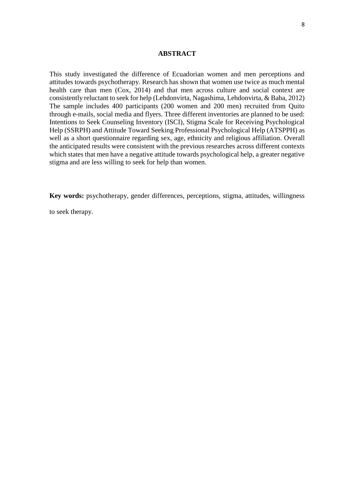### **ABSTRACT**

This study investigated the difference of Ecuadorian women and men perceptions and attitudes towards psychotherapy. Research has shown that women use twice as much mental health care than men (Cox, 2014) and that men across culture and social context are consistently reluctant to seek for help (Lehdonvirta, Nagashima, Lehdonvirta, & Baba, 2012) The sample includes 400 participants (200 women and 200 men) recruited from Quito through e-mails, social media and flyers. Three different inventories are planned to be used: Intentions to Seek Counseling Inventory (ISCI), Stigma Scale for Receiving Psychological Help (SSRPH) and Attitude Toward Seeking Professional Psychological Help (ATSPPH) as well as a short questionnaire regarding sex, age, ethnicity and religious affiliation. Overall the anticipated results were consistent with the previous researches across different contexts which states that men have a negative attitude towards psychological help, a greater negative stigma and are less willing to seek for help than women.

**Key words:** psychotherapy, gender differences, perceptions, stigma, attitudes, willingness

to seek therapy.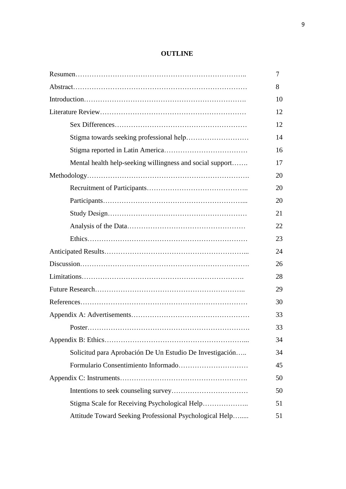## **OUTLINE**

|                                                           | 7  |
|-----------------------------------------------------------|----|
|                                                           | 8  |
|                                                           | 10 |
|                                                           | 12 |
|                                                           | 12 |
|                                                           | 14 |
|                                                           | 16 |
| Mental health help-seeking willingness and social support | 17 |
|                                                           | 20 |
|                                                           | 20 |
|                                                           | 20 |
|                                                           | 21 |
|                                                           | 22 |
|                                                           | 23 |
|                                                           | 24 |
|                                                           | 26 |
|                                                           | 28 |
|                                                           | 29 |
|                                                           | 30 |
|                                                           | 33 |
|                                                           | 33 |
|                                                           | 34 |
| Solicitud para Aprobación De Un Estudio De Investigación  | 34 |
|                                                           | 45 |
|                                                           | 50 |
|                                                           | 50 |
| Stigma Scale for Receiving Psychological Help             | 51 |
| Attitude Toward Seeking Professional Psychological Help   | 51 |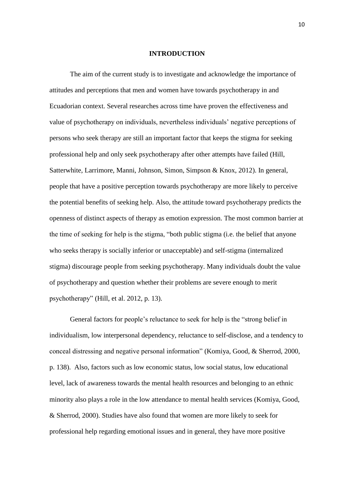### **INTRODUCTION**

The aim of the current study is to investigate and acknowledge the importance of attitudes and perceptions that men and women have towards psychotherapy in and Ecuadorian context. Several researches across time have proven the effectiveness and value of psychotherapy on individuals, nevertheless individuals' negative perceptions of persons who seek therapy are still an important factor that keeps the stigma for seeking professional help and only seek psychotherapy after other attempts have failed (Hill, Satterwhite, Larrimore, Manni, Johnson, Simon, Simpson & Knox, 2012). In general, people that have a positive perception towards psychotherapy are more likely to perceive the potential benefits of seeking help. Also, the attitude toward psychotherapy predicts the openness of distinct aspects of therapy as emotion expression. The most common barrier at the time of seeking for help is the stigma, "both public stigma (i.e. the belief that anyone who seeks therapy is socially inferior or unacceptable) and self-stigma (internalized stigma) discourage people from seeking psychotherapy. Many individuals doubt the value of psychotherapy and question whether their problems are severe enough to merit psychotherapy" (Hill, et al. 2012, p. 13).

General factors for people's reluctance to seek for help is the "strong belief in individualism, low interpersonal dependency, reluctance to self-disclose, and a tendency to conceal distressing and negative personal information" (Komiya, Good, & Sherrod, 2000, p. 138). Also, factors such as low economic status, low social status, low educational level, lack of awareness towards the mental health resources and belonging to an ethnic minority also plays a role in the low attendance to mental health services (Komiya, Good, & Sherrod, 2000). Studies have also found that women are more likely to seek for professional help regarding emotional issues and in general, they have more positive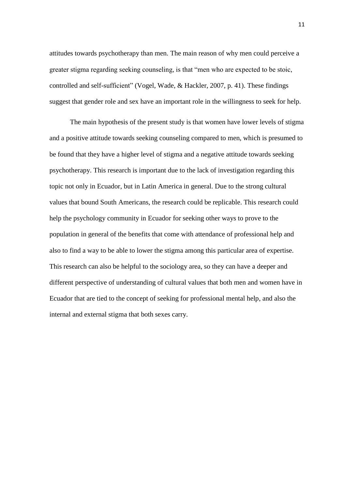attitudes towards psychotherapy than men. The main reason of why men could perceive a greater stigma regarding seeking counseling, is that "men who are expected to be stoic, controlled and self-sufficient" (Vogel, Wade, & Hackler, 2007, p. 41). These findings suggest that gender role and sex have an important role in the willingness to seek for help.

The main hypothesis of the present study is that women have lower levels of stigma and a positive attitude towards seeking counseling compared to men, which is presumed to be found that they have a higher level of stigma and a negative attitude towards seeking psychotherapy. This research is important due to the lack of investigation regarding this topic not only in Ecuador, but in Latin America in general. Due to the strong cultural values that bound South Americans, the research could be replicable. This research could help the psychology community in Ecuador for seeking other ways to prove to the population in general of the benefits that come with attendance of professional help and also to find a way to be able to lower the stigma among this particular area of expertise. This research can also be helpful to the sociology area, so they can have a deeper and different perspective of understanding of cultural values that both men and women have in Ecuador that are tied to the concept of seeking for professional mental help, and also the internal and external stigma that both sexes carry.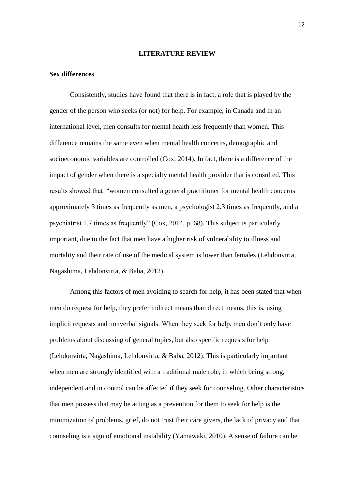### **LITERATURE REVIEW**

### **Sex differences**

Consistently, studies have found that there is in fact, a role that is played by the gender of the person who seeks (or not) for help. For example, in Canada and in an international level, men consults for mental health less frequently than women. This difference remains the same even when mental health concerns, demographic and socioeconomic variables are controlled (Cox, 2014). In fact, there is a difference of the impact of gender when there is a specialty mental health provider that is consulted. This results showed that "women consulted a general practitioner for mental health concerns approximately 3 times as frequently as men, a psychologist 2.3 times as frequently, and a psychiatrist 1.7 times as frequently" (Cox, 2014, p. 68). This subject is particularly important, due to the fact that men have a higher risk of vulnerability to illness and mortality and their rate of use of the medical system is lower than females (Lehdonvirta, Nagashima, Lehdonvirta, & Baba, 2012).

Among this factors of men avoiding to search for help, it has been stated that when men do request for help, they prefer indirect means than direct means, this is, using implicit requests and nonverbal signals. When they seek for help, men don't only have problems about discussing of general topics, but also specific requests for help (Lehdonvirta, Nagashima, Lehdonvirta, & Baba, 2012). This is particularly important when men are strongly identified with a traditional male role, in which being strong, independent and in control can be affected if they seek for counseling. Other characteristics that men possess that may be acting as a prevention for them to seek for help is the minimization of problems, grief, do not trust their care givers, the lack of privacy and that counseling is a sign of emotional instability (Yamawaki, 2010). A sense of failure can be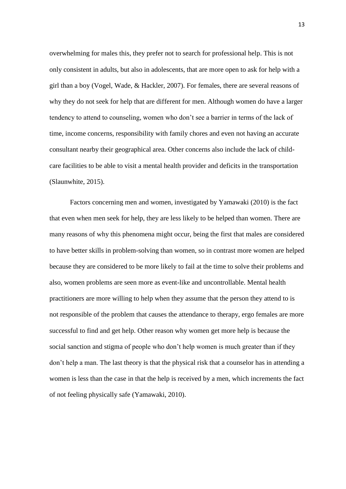overwhelming for males this, they prefer not to search for professional help. This is not only consistent in adults, but also in adolescents, that are more open to ask for help with a girl than a boy (Vogel, Wade, & Hackler, 2007). For females, there are several reasons of why they do not seek for help that are different for men. Although women do have a larger tendency to attend to counseling, women who don't see a barrier in terms of the lack of time, income concerns, responsibility with family chores and even not having an accurate consultant nearby their geographical area. Other concerns also include the lack of childcare facilities to be able to visit a mental health provider and deficits in the transportation (Slaunwhite, 2015).

Factors concerning men and women, investigated by Yamawaki (2010) is the fact that even when men seek for help, they are less likely to be helped than women. There are many reasons of why this phenomena might occur, being the first that males are considered to have better skills in problem-solving than women, so in contrast more women are helped because they are considered to be more likely to fail at the time to solve their problems and also, women problems are seen more as event-like and uncontrollable. Mental health practitioners are more willing to help when they assume that the person they attend to is not responsible of the problem that causes the attendance to therapy, ergo females are more successful to find and get help. Other reason why women get more help is because the social sanction and stigma of people who don't help women is much greater than if they don't help a man. The last theory is that the physical risk that a counselor has in attending a women is less than the case in that the help is received by a men, which increments the fact of not feeling physically safe (Yamawaki, 2010).

13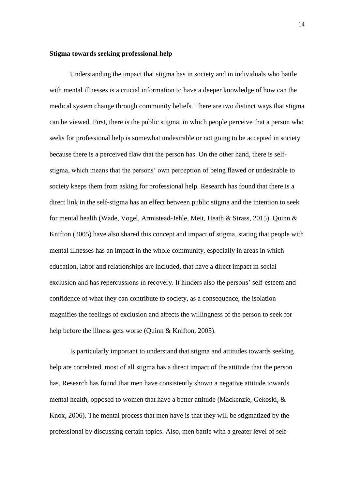### **Stigma towards seeking professional help**

Understanding the impact that stigma has in society and in individuals who battle with mental illnesses is a crucial information to have a deeper knowledge of how can the medical system change through community beliefs. There are two distinct ways that stigma can be viewed. First, there is the public stigma, in which people perceive that a person who seeks for professional help is somewhat undesirable or not going to be accepted in society because there is a perceived flaw that the person has. On the other hand, there is selfstigma, which means that the persons' own perception of being flawed or undesirable to society keeps them from asking for professional help. Research has found that there is a direct link in the self-stigma has an effect between public stigma and the intention to seek for mental health (Wade, Vogel, Armistead-Jehle, Meit, Heath & Strass, 2015). Quinn & Knifton (2005) have also shared this concept and impact of stigma, stating that people with mental illnesses has an impact in the whole community, especially in areas in which education, labor and relationships are included, that have a direct impact in social exclusion and has repercussions in recovery. It hinders also the persons' self-esteem and confidence of what they can contribute to society, as a consequence, the isolation magnifies the feelings of exclusion and affects the willingness of the person to seek for help before the illness gets worse (Quinn & Knifton, 2005).

Is particularly important to understand that stigma and attitudes towards seeking help are correlated, most of all stigma has a direct impact of the attitude that the person has. Research has found that men have consistently shown a negative attitude towards mental health, opposed to women that have a better attitude (Mackenzie, Gekoski, & Knox, 2006). The mental process that men have is that they will be stigmatized by the professional by discussing certain topics. Also, men battle with a greater level of self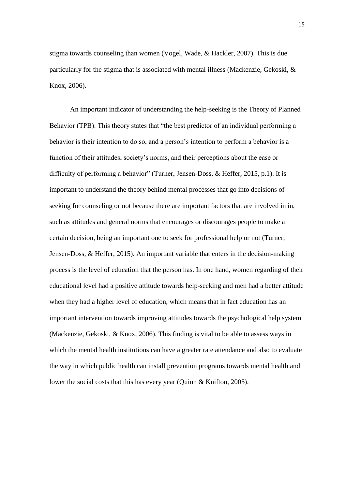stigma towards counseling than women (Vogel, Wade, & Hackler, 2007). This is due particularly for the stigma that is associated with mental illness (Mackenzie, Gekoski, & Knox, 2006).

An important indicator of understanding the help-seeking is the Theory of Planned Behavior (TPB). This theory states that "the best predictor of an individual performing a behavior is their intention to do so, and a person's intention to perform a behavior is a function of their attitudes, society's norms, and their perceptions about the ease or difficulty of performing a behavior" (Turner, Jensen-Doss, & Heffer, 2015, p.1). It is important to understand the theory behind mental processes that go into decisions of seeking for counseling or not because there are important factors that are involved in in, such as attitudes and general norms that encourages or discourages people to make a certain decision, being an important one to seek for professional help or not (Turner, Jensen-Doss, & Heffer, 2015). An important variable that enters in the decision-making process is the level of education that the person has. In one hand, women regarding of their educational level had a positive attitude towards help-seeking and men had a better attitude when they had a higher level of education, which means that in fact education has an important intervention towards improving attitudes towards the psychological help system (Mackenzie, Gekoski, & Knox, 2006). This finding is vital to be able to assess ways in which the mental health institutions can have a greater rate attendance and also to evaluate the way in which public health can install prevention programs towards mental health and lower the social costs that this has every year (Quinn & Knifton, 2005).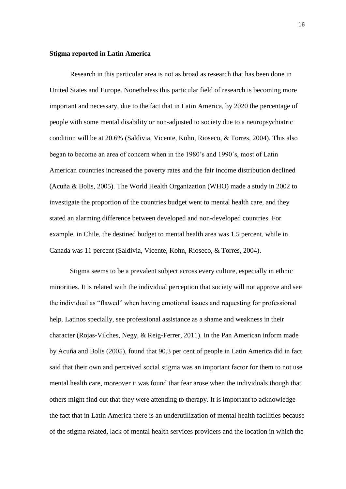### **Stigma reported in Latin America**

Research in this particular area is not as broad as research that has been done in United States and Europe. Nonetheless this particular field of research is becoming more important and necessary, due to the fact that in Latin America, by 2020 the percentage of people with some mental disability or non-adjusted to society due to a neuropsychiatric condition will be at 20.6% (Saldivia, Vicente, Kohn, Rioseco, & Torres, 2004). This also began to become an area of concern when in the 1980's and 1990´s, most of Latin American countries increased the poverty rates and the fair income distribution declined (Acuña & Bolis, 2005). The World Health Organization (WHO) made a study in 2002 to investigate the proportion of the countries budget went to mental health care, and they stated an alarming difference between developed and non-developed countries. For example, in Chile, the destined budget to mental health area was 1.5 percent, while in Canada was 11 percent (Saldivia, Vicente, Kohn, Rioseco, & Torres, 2004).

Stigma seems to be a prevalent subject across every culture, especially in ethnic minorities. It is related with the individual perception that society will not approve and see the individual as "flawed" when having emotional issues and requesting for professional help. Latinos specially, see professional assistance as a shame and weakness in their character (Rojas-Vilches, Negy, & Reig-Ferrer, 2011). In the Pan American inform made by Acuña and Bolis (2005), found that 90.3 per cent of people in Latin America did in fact said that their own and perceived social stigma was an important factor for them to not use mental health care, moreover it was found that fear arose when the individuals though that others might find out that they were attending to therapy. It is important to acknowledge the fact that in Latin America there is an underutilization of mental health facilities because of the stigma related, lack of mental health services providers and the location in which the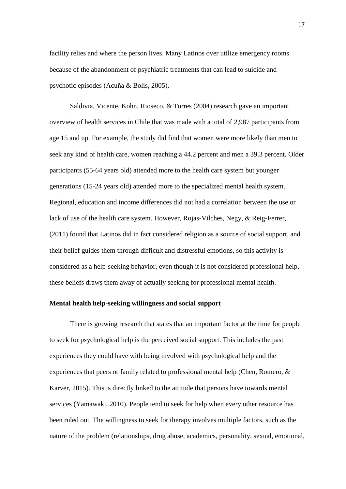facility relies and where the person lives. Many Latinos over utilize emergency rooms because of the abandonment of psychiatric treatments that can lead to suicide and psychotic episodes (Acuña & Bolis, 2005).

Saldivia, Vicente, Kohn, Rioseco, & Torres (2004) research gave an important overview of health services in Chile that was made with a total of 2,987 participants from age 15 and up. For example, the study did find that women were more likely than men to seek any kind of health care, women reaching a 44.2 percent and men a 39.3 percent. Older participants (55-64 years old) attended more to the health care system but younger generations (15-24 years old) attended more to the specialized mental health system. Regional, education and income differences did not had a correlation between the use or lack of use of the health care system. However, Rojas-Vilches, Negy, & Reig-Ferrer, (2011) found that Latinos did in fact considered religion as a source of social support, and their belief guides them through difficult and distressful emotions, so this activity is considered as a help-seeking behavior, even though it is not considered professional help, these beliefs draws them away of actually seeking for professional mental health.

### **Mental health help-seeking willingness and social support**

There is growing research that states that an important factor at the time for people to seek for psychological help is the perceived social support. This includes the past experiences they could have with being involved with psychological help and the experiences that peers or family related to professional mental help (Chen, Romero, & Karver, 2015). This is directly linked to the attitude that persons have towards mental services (Yamawaki, 2010). People tend to seek for help when every other resource has been ruled out. The willingness to seek for therapy involves multiple factors, such as the nature of the problem (relationships, drug abuse, academics, personality, sexual, emotional,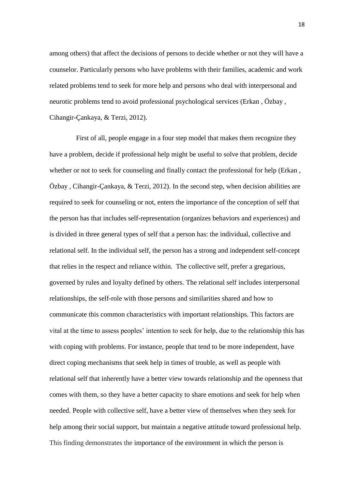among others) that affect the decisions of persons to decide whether or not they will have a counselor. Particularly persons who have problems with their families, academic and work related problems tend to seek for more help and persons who deal with interpersonal and neurotic problems tend to avoid professional psychological services (Erkan , Özbay , Cihangir-Çankaya, & Terzi, 2012).

First of all, people engage in a four step model that makes them recognize they have a problem, decide if professional help might be useful to solve that problem, decide whether or not to seek for counseling and finally contact the professional for help (Erkan , Özbay , Cihangir-Çankaya, & Terzi, 2012). In the second step, when decision abilities are required to seek for counseling or not, enters the importance of the conception of self that the person has that includes self-representation (organizes behaviors and experiences) and is divided in three general types of self that a person has: the individual, collective and relational self. In the individual self, the person has a strong and independent self-concept that relies in the respect and reliance within. The collective self, prefer a gregarious, governed by rules and loyalty defined by others. The relational self includes interpersonal relationships, the self-role with those persons and similarities shared and how to communicate this common characteristics with important relationships. This factors are vital at the time to assess peoples' intention to seek for help, due to the relationship this has with coping with problems. For instance, people that tend to be more independent, have direct coping mechanisms that seek help in times of trouble, as well as people with relational self that inherently have a better view towards relationship and the openness that comes with them, so they have a better capacity to share emotions and seek for help when needed. People with collective self, have a better view of themselves when they seek for help among their social support, but maintain a negative attitude toward professional help. This finding demonstrates the importance of the environment in which the person is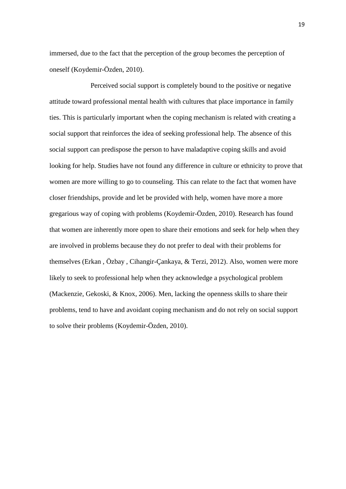immersed, due to the fact that the perception of the group becomes the perception of oneself (Koydemir-Özden, 2010).

Perceived social support is completely bound to the positive or negative attitude toward professional mental health with cultures that place importance in family ties. This is particularly important when the coping mechanism is related with creating a social support that reinforces the idea of seeking professional help. The absence of this social support can predispose the person to have maladaptive coping skills and avoid looking for help. Studies have not found any difference in culture or ethnicity to prove that women are more willing to go to counseling. This can relate to the fact that women have closer friendships, provide and let be provided with help, women have more a more gregarious way of coping with problems (Koydemir-Özden, 2010). Research has found that women are inherently more open to share their emotions and seek for help when they are involved in problems because they do not prefer to deal with their problems for themselves (Erkan , Özbay , Cihangir-Çankaya, & Terzi, 2012). Also, women were more likely to seek to professional help when they acknowledge a psychological problem (Mackenzie, Gekoski, & Knox, 2006). Men, lacking the openness skills to share their problems, tend to have and avoidant coping mechanism and do not rely on social support to solve their problems (Koydemir-Özden, 2010).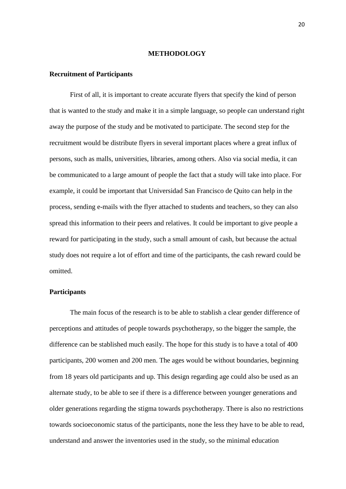### **METHODOLOGY**

### **Recruitment of Participants**

First of all, it is important to create accurate flyers that specify the kind of person that is wanted to the study and make it in a simple language, so people can understand right away the purpose of the study and be motivated to participate. The second step for the recruitment would be distribute flyers in several important places where a great influx of persons, such as malls, universities, libraries, among others. Also via social media, it can be communicated to a large amount of people the fact that a study will take into place. For example, it could be important that Universidad San Francisco de Quito can help in the process, sending e-mails with the flyer attached to students and teachers, so they can also spread this information to their peers and relatives. It could be important to give people a reward for participating in the study, such a small amount of cash, but because the actual study does not require a lot of effort and time of the participants, the cash reward could be omitted.

### **Participants**

The main focus of the research is to be able to stablish a clear gender difference of perceptions and attitudes of people towards psychotherapy, so the bigger the sample, the difference can be stablished much easily. The hope for this study is to have a total of 400 participants, 200 women and 200 men. The ages would be without boundaries, beginning from 18 years old participants and up. This design regarding age could also be used as an alternate study, to be able to see if there is a difference between younger generations and older generations regarding the stigma towards psychotherapy. There is also no restrictions towards socioeconomic status of the participants, none the less they have to be able to read, understand and answer the inventories used in the study, so the minimal education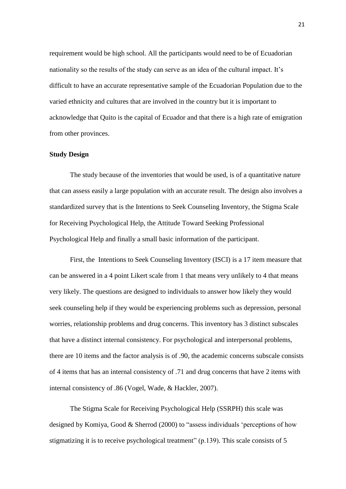requirement would be high school. All the participants would need to be of Ecuadorian nationality so the results of the study can serve as an idea of the cultural impact. It's difficult to have an accurate representative sample of the Ecuadorian Population due to the varied ethnicity and cultures that are involved in the country but it is important to acknowledge that Quito is the capital of Ecuador and that there is a high rate of emigration from other provinces.

#### **Study Design**

The study because of the inventories that would be used, is of a quantitative nature that can assess easily a large population with an accurate result. The design also involves a standardized survey that is the Intentions to Seek Counseling Inventory, the Stigma Scale for Receiving Psychological Help, the Attitude Toward Seeking Professional Psychological Help and finally a small basic information of the participant.

First, the Intentions to Seek Counseling Inventory (ISCI) is a 17 item measure that can be answered in a 4 point Likert scale from 1 that means very unlikely to 4 that means very likely. The questions are designed to individuals to answer how likely they would seek counseling help if they would be experiencing problems such as depression, personal worries, relationship problems and drug concerns. This inventory has 3 distinct subscales that have a distinct internal consistency. For psychological and interpersonal problems, there are 10 items and the factor analysis is of .90, the academic concerns subscale consists of 4 items that has an internal consistency of .71 and drug concerns that have 2 items with internal consistency of .86 (Vogel, Wade, & Hackler, 2007).

The Stigma Scale for Receiving Psychological Help (SSRPH) this scale was designed by Komiya, Good & Sherrod (2000) to "assess individuals 'perceptions of how stigmatizing it is to receive psychological treatment" (p.139). This scale consists of 5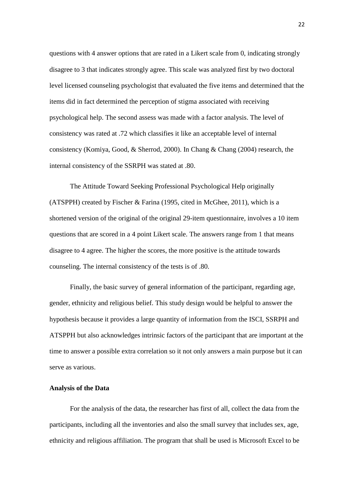questions with 4 answer options that are rated in a Likert scale from 0, indicating strongly disagree to 3 that indicates strongly agree. This scale was analyzed first by two doctoral level licensed counseling psychologist that evaluated the five items and determined that the items did in fact determined the perception of stigma associated with receiving psychological help. The second assess was made with a factor analysis. The level of consistency was rated at .72 which classifies it like an acceptable level of internal consistency (Komiya, Good, & Sherrod, 2000). In Chang & Chang (2004) research, the internal consistency of the SSRPH was stated at .80.

The Attitude Toward Seeking Professional Psychological Help originally (ATSPPH) created by Fischer & Farina (1995, cited in McGhee, 2011), which is a shortened version of the original of the original 29-item questionnaire, involves a 10 item questions that are scored in a 4 point Likert scale. The answers range from 1 that means disagree to 4 agree. The higher the scores, the more positive is the attitude towards counseling. The internal consistency of the tests is of .80.

Finally, the basic survey of general information of the participant, regarding age, gender, ethnicity and religious belief. This study design would be helpful to answer the hypothesis because it provides a large quantity of information from the ISCI, SSRPH and ATSPPH but also acknowledges intrinsic factors of the participant that are important at the time to answer a possible extra correlation so it not only answers a main purpose but it can serve as various.

#### **Analysis of the Data**

For the analysis of the data, the researcher has first of all, collect the data from the participants, including all the inventories and also the small survey that includes sex, age, ethnicity and religious affiliation. The program that shall be used is Microsoft Excel to be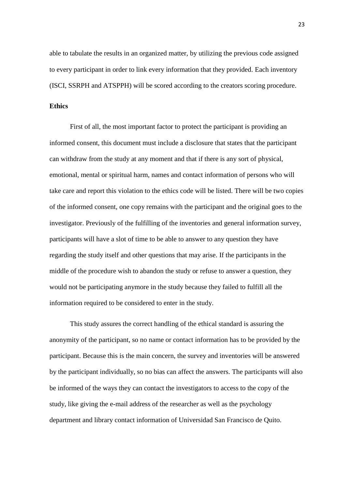able to tabulate the results in an organized matter, by utilizing the previous code assigned to every participant in order to link every information that they provided. Each inventory (ISCI, SSRPH and ATSPPH) will be scored according to the creators scoring procedure.

### **Ethics**

First of all, the most important factor to protect the participant is providing an informed consent, this document must include a disclosure that states that the participant can withdraw from the study at any moment and that if there is any sort of physical, emotional, mental or spiritual harm, names and contact information of persons who will take care and report this violation to the ethics code will be listed. There will be two copies of the informed consent, one copy remains with the participant and the original goes to the investigator. Previously of the fulfilling of the inventories and general information survey, participants will have a slot of time to be able to answer to any question they have regarding the study itself and other questions that may arise. If the participants in the middle of the procedure wish to abandon the study or refuse to answer a question, they would not be participating anymore in the study because they failed to fulfill all the information required to be considered to enter in the study.

This study assures the correct handling of the ethical standard is assuring the anonymity of the participant, so no name or contact information has to be provided by the participant. Because this is the main concern, the survey and inventories will be answered by the participant individually, so no bias can affect the answers. The participants will also be informed of the ways they can contact the investigators to access to the copy of the study, like giving the e-mail address of the researcher as well as the psychology department and library contact information of Universidad San Francisco de Quito.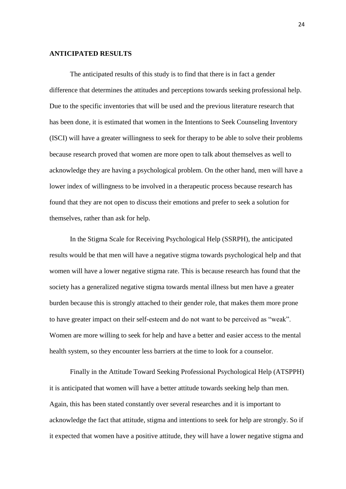### **ANTICIPATED RESULTS**

The anticipated results of this study is to find that there is in fact a gender difference that determines the attitudes and perceptions towards seeking professional help. Due to the specific inventories that will be used and the previous literature research that has been done, it is estimated that women in the Intentions to Seek Counseling Inventory (ISCI) will have a greater willingness to seek for therapy to be able to solve their problems because research proved that women are more open to talk about themselves as well to acknowledge they are having a psychological problem. On the other hand, men will have a lower index of willingness to be involved in a therapeutic process because research has found that they are not open to discuss their emotions and prefer to seek a solution for themselves, rather than ask for help.

In the Stigma Scale for Receiving Psychological Help (SSRPH), the anticipated results would be that men will have a negative stigma towards psychological help and that women will have a lower negative stigma rate. This is because research has found that the society has a generalized negative stigma towards mental illness but men have a greater burden because this is strongly attached to their gender role, that makes them more prone to have greater impact on their self-esteem and do not want to be perceived as "weak". Women are more willing to seek for help and have a better and easier access to the mental health system, so they encounter less barriers at the time to look for a counselor.

Finally in the Attitude Toward Seeking Professional Psychological Help (ATSPPH) it is anticipated that women will have a better attitude towards seeking help than men. Again, this has been stated constantly over several researches and it is important to acknowledge the fact that attitude, stigma and intentions to seek for help are strongly. So if it expected that women have a positive attitude, they will have a lower negative stigma and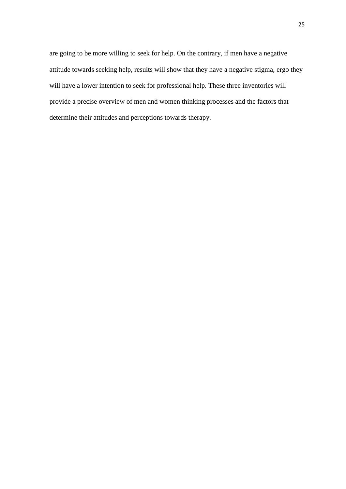are going to be more willing to seek for help. On the contrary, if men have a negative attitude towards seeking help, results will show that they have a negative stigma, ergo they will have a lower intention to seek for professional help. These three inventories will provide a precise overview of men and women thinking processes and the factors that determine their attitudes and perceptions towards therapy.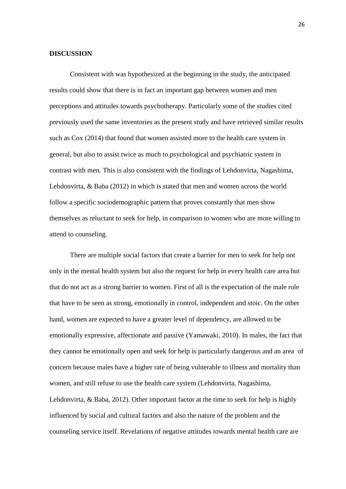### **DISCUSSION**

Consistent with was hypothesized at the beginning in the study, the anticipated results could show that there is in fact an important gap between women and men perceptions and attitudes towards psychotherapy. Particularly some of the studies cited previously used the same inventories as the present study and have retrieved similar results such as Cox (2014) that found that women assisted more to the health care system in general, but also to assist twice as much to psychological and psychiatric system in contrast with men. This is also consistent with the findings of Lehdonvirta, Nagashima, Lehdonvirta, & Baba (2012) in which is stated that men and women across the world follow a specific sociodemographic pattern that proves constantly that men show themselves as reluctant to seek for help, in comparison to women who are more willing to attend to counseling.

There are multiple social factors that create a barrier for men to seek for help not only in the mental health system but also the request for help in every health care area but that do not act as a strong barrier to women. First of all is the expectation of the male role that have to be seen as strong, emotionally in control, independent and stoic. On the other hand, women are expected to have a greater level of dependency, are allowed to be emotionally expressive, affectionate and passive (Yamawaki, 2010). In males, the fact that they cannot be emotionally open and seek for help is particularly dangerous and an area of concern because males have a higher rate of being vulnerable to illness and mortality than women, and still refuse to use the health care system (Lehdonvirta, Nagashima, Lehdonvirta, & Baba, 2012). Other important factor at the time to seek for help is highly influenced by social and cultural factors and also the nature of the problem and the counseling service itself. Revelations of negative attitudes towards mental health care are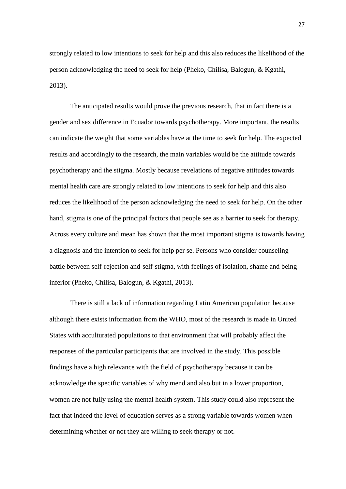strongly related to low intentions to seek for help and this also reduces the likelihood of the person acknowledging the need to seek for help (Pheko, Chilisa, Balogun, & Kgathi, 2013).

The anticipated results would prove the previous research, that in fact there is a gender and sex difference in Ecuador towards psychotherapy. More important, the results can indicate the weight that some variables have at the time to seek for help. The expected results and accordingly to the research, the main variables would be the attitude towards psychotherapy and the stigma. Mostly because revelations of negative attitudes towards mental health care are strongly related to low intentions to seek for help and this also reduces the likelihood of the person acknowledging the need to seek for help. On the other hand, stigma is one of the principal factors that people see as a barrier to seek for therapy. Across every culture and mean has shown that the most important stigma is towards having a diagnosis and the intention to seek for help per se. Persons who consider counseling battle between self-rejection and-self-stigma, with feelings of isolation, shame and being inferior (Pheko, Chilisa, Balogun, & Kgathi, 2013).

There is still a lack of information regarding Latin American population because although there exists information from the WHO, most of the research is made in United States with acculturated populations to that environment that will probably affect the responses of the particular participants that are involved in the study. This possible findings have a high relevance with the field of psychotherapy because it can be acknowledge the specific variables of why mend and also but in a lower proportion, women are not fully using the mental health system. This study could also represent the fact that indeed the level of education serves as a strong variable towards women when determining whether or not they are willing to seek therapy or not.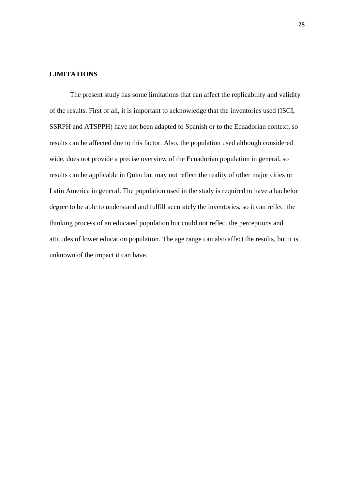## **LIMITATIONS**

The present study has some limitations that can affect the replicability and validity of the results. First of all, it is important to acknowledge that the inventories used (ISCI, SSRPH and ATSPPH) have not been adapted to Spanish or to the Ecuadorian context, so results can be affected due to this factor. Also, the population used although considered wide, does not provide a precise overview of the Ecuadorian population in general, so results can be applicable in Quito but may not reflect the reality of other major cities or Latin America in general. The population used in the study is required to have a bachelor degree to be able to understand and fulfill accurately the inventories, so it can reflect the thinking process of an educated population but could not reflect the perceptions and attitudes of lower education population. The age range can also affect the results, but it is unknown of the impact it can have.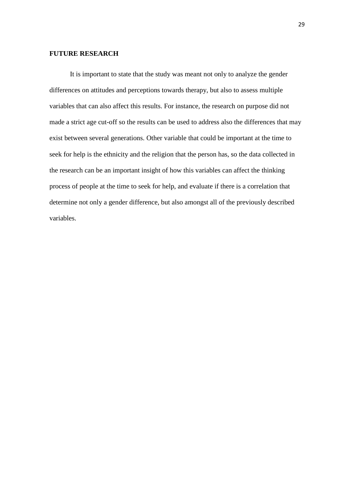### **FUTURE RESEARCH**

It is important to state that the study was meant not only to analyze the gender differences on attitudes and perceptions towards therapy, but also to assess multiple variables that can also affect this results. For instance, the research on purpose did not made a strict age cut-off so the results can be used to address also the differences that may exist between several generations. Other variable that could be important at the time to seek for help is the ethnicity and the religion that the person has, so the data collected in the research can be an important insight of how this variables can affect the thinking process of people at the time to seek for help, and evaluate if there is a correlation that determine not only a gender difference, but also amongst all of the previously described variables.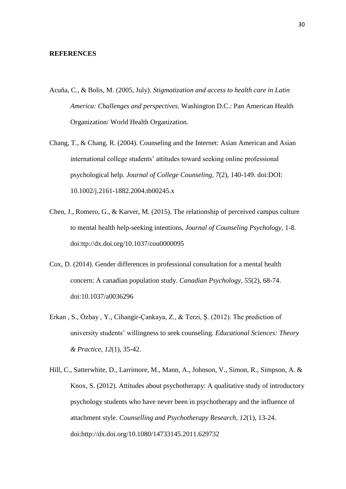### **REFERENCES**

- Acuña, C., & Bolis, M. (2005, July). *Stigmatization and access to health care in Latin America: Challenges and perspectives.* Washington D.C.: Pan American Health Organization/ World Health Organization.
- Chang, T., & Chang, R. (2004). Counseling and the Internet: Asian American and Asian international college students' attitudes toward seeking online professional psychological help. *Journal of College Counseling, 7*(2), 140-149. doi:DOI: 10.1002/j.2161-1882.2004.tb00245.x
- Chen, J., Romero, G., & Karver, M. (2015). The relationship of perceived campus culture to mental health help-seeking intentions. *Journal of Counseling Psychology*, 1-8. doi:ttp://dx.doi.org/10.1037/cou0000095
- Cox, D. (2014). Gender differences in professional consultation for a mental health concern: A canadian population study. *Canadian Psychology, 55*(2), 68-74. doi:10.1037/a0036296
- Erkan , S., Özbay , Y., Cihangir-Çankaya, Z., & Terzi, Ş. (2012). The prediction of university students' willingness to seek counseling. *Educational Sciences: Theory & Practice, 12*(1), 35-42.
- Hill, C., Satterwhite, D., Larrimore, M., Mann, A., Johnson, V., Simon, R., Simpson, A. & Knox, S. (2012). Attitudes about psychotherapy: A qualitative study of introductory psychology students who have never been in psychotherapy and the influence of attachment style. *Counselling and Psychotherapy Research, 12*(1), 13-24. doi:http://dx.doi.org/10.1080/14733145.2011.629732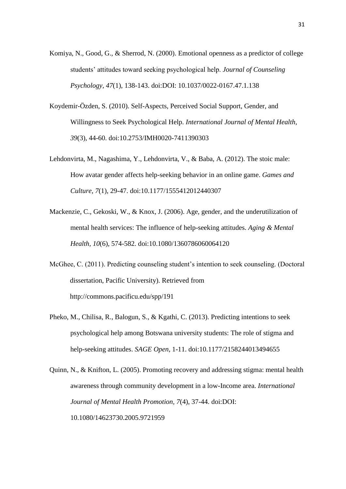- Komiya, N., Good, G., & Sherrod, N. (2000). Emotional openness as a predictor of college students' attitudes toward seeking psychological help. *Journal of Counseling Psychology, 47*(1), 138-143. doi:DOI: 10.1037/0022-0167.47.1.138
- Koydemir-Özden, S. (2010). Self-Aspects, Perceived Social Support, Gender, and Willingness to Seek Psychological Help. *International Journal of Mental Health, 39*(3), 44-60. doi:10.2753/IMH0020-7411390303
- Lehdonvirta, M., Nagashima, Y., Lehdonvirta, V., & Baba, A. (2012). The stoic male: How avatar gender affects help-seeking behavior in an online game. *Games and Culture, 7*(1), 29-47. doi:10.1177/1555412012440307
- Mackenzie, C., Gekoski, W., & Knox, J. (2006). Age, gender, and the underutilization of mental health services: The influence of help-seeking attitudes. *Aging & Mental Health, 10*(6), 574-582. doi:10.1080/1360786060064120
- McGhee, C. (2011). Predicting counseling student's intention to seek counseling. (Doctoral dissertation, Pacific University). Retrieved from <http://commons.pacificu.edu/spp/191>
- Pheko, M., Chilisa, R., Balogun, S., & Kgathi, C. (2013). Predicting intentions to seek psychological help among Botswana university students: The role of stigma and help-seeking attitudes. *SAGE Open*, 1-11. doi:10.1177/2158244013494655
- Quinn, N., & Knifton, L. (2005). Promoting recovery and addressing stigma: mental health awareness through community development in a low-Income area. *International Journal of Mental Health Promotion, 7*(4), 37-44. doi:DOI: 10.1080/14623730.2005.9721959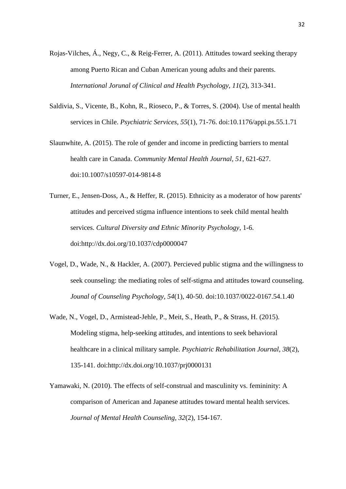- Rojas-Vilches, Á., Negy, C., & Reig-Ferrer, A. (2011). Attitudes toward seeking therapy among Puerto Rican and Cuban American young adults and their parents. *International Jorunal of Clinical and Health Psychology, 11*(2), 313-341.
- Saldivia, S., Vicente, B., Kohn, R., Rioseco, P., & Torres, S. (2004). Use of mental health services in Chile. *Psychiatric Services, 55*(1), 71-76. doi:10.1176/appi.ps.55.1.71
- Slaunwhite, A. (2015). The role of gender and income in predicting barriers to mental health care in Canada. *Community Mental Health Journal, 51*, 621-627. doi:10.1007/s10597-014-9814-8
- Turner, E., Jensen-Doss, A., & Heffer, R. (2015). Ethnicity as a moderator of how parents' attitudes and perceived stigma influence intentions to seek child mental health services. *Cultural Diversity and Ethnic Minority Psychology*, 1-6. doi:http://dx.doi.org/10.1037/cdp0000047
- Vogel, D., Wade, N., & Hackler, A. (2007). Percieved public stigma and the willingness to seek counseling: the mediating roles of self-stigma and attitudes toward counseling. *Jounal of Counseling Psychology, 54*(1), 40-50. doi:10.1037/0022-0167.54.1.40
- Wade, N., Vogel, D., Armistead-Jehle, P., Meit, S., Heath, P., & Strass, H. (2015). Modeling stigma, help-seeking attitudes, and intentions to seek behavioral healthcare in a clinical military sample. *Psychiatric Rehabilitation Journal, 38*(2), 135-141. doi:http://dx.doi.org/10.1037/prj0000131
- Yamawaki, N. (2010). The effects of self-construal and masculinity vs. femininity: A comparison of American and Japanese attitudes toward mental health services. *Journal of Mental Health Counseling, 32*(2), 154-167.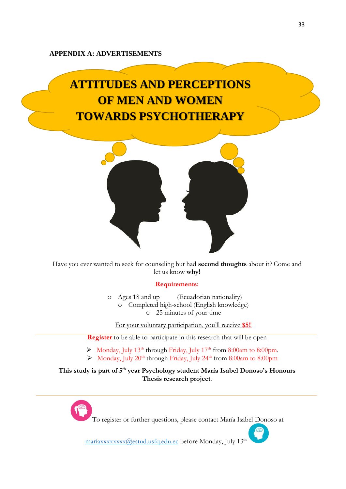### **APPENDIX A: ADVERTISEMENTS**

# **ATTITUDES AND PERCEPTIONS OF MEN AND WOMEN TOWARDS PSYCHOTHERAPY**



Have you ever wanted to seek for counseling but had **second thoughts** about it? Come and let us know **why!**

### **Requirements:**

o Ages 18 and up (Ecuadorian nationality) o Completed high-school (English knowledge) o 25 minutes of your time

For your voluntary participation, you'll receive **\$5**!!

**Register** to be able to participate in this research that will be open

- $\triangleright$  Monday, July 13<sup>th</sup> through Friday, July 17<sup>th</sup> from 8:00am to 8:00pm.
- $\triangleright$  Monday, July 20<sup>th</sup> through Friday, July 24<sup>th</sup> from 8:00am to 8:00pm

**This study is part of 5th year Psychology student María Isabel Donoso's Honours Thesis research project**.

To register or further questions, please contact María Isabel Donoso at

mariaxxxxxxxx(@estud.usfq.edu.ec before Monday, July 13<sup>th</sup>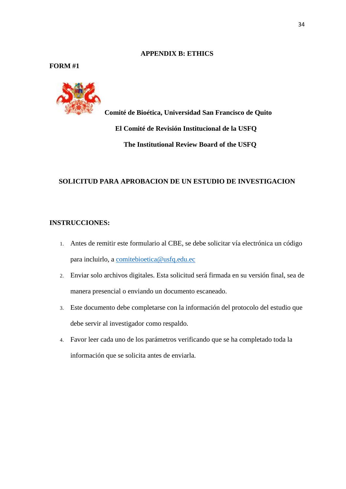### **APPENDIX B: ETHICS**

## **FORM #1**



 **Comité de Bioética, Universidad San Francisco de Quito El Comité de Revisión Institucional de la USFQ The Institutional Review Board of the USFQ**

## **SOLICITUD PARA APROBACION DE UN ESTUDIO DE INVESTIGACION**

## **INSTRUCCIONES:**

- 1. Antes de remitir este formulario al CBE, se debe solicitar vía electrónica un código para incluirlo, a [comitebioetica@usfq.edu.ec](mailto:comitebioetica@usfq.edu.ec)
- 2. Enviar solo archivos digitales. Esta solicitud será firmada en su versión final, sea de manera presencial o enviando un documento escaneado.
- 3. Este documento debe completarse con la información del protocolo del estudio que debe servir al investigador como respaldo.
- 4. Favor leer cada uno de los parámetros verificando que se ha completado toda la información que se solicita antes de enviarla.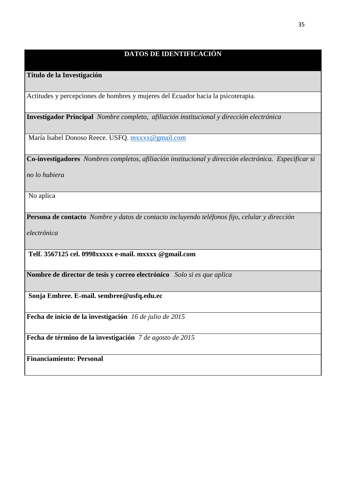## **DATOS DE IDENTIFICACIÓN**

## **Título de la Investigación**

Actitudes y percepciones de hombres y mujeres del Ecuador hacia la psicoterapia.

**Investigador Principal** *Nombre completo, afiliación institucional y dirección electrónica*

María Isabel Donoso Reece. USFQ. [mxxxx@gmail.com](mailto:mxxxx@gmail.com)

**Co-investigadores** *Nombres completos, afiliación institucional y dirección electrónica. Especificar si* 

*no lo hubiera*

No aplica

**Persona de contacto** *Nombre y datos de contacto incluyendo teléfonos fijo, celular y dirección* 

*electrónica*

**Telf. 3567125 cel. 0998xxxxx e-mail. mxxxx @gmail.com**

**Nombre de director de tesis y correo electrónico** *Solo si es que aplica*

**Sonja Embree. E-mail. sembree@usfq.edu.ec**

**Fecha de inicio de la investigación** *16 de julio de 2015*

**Fecha de término de la investigación** *7 de agosto de 2015*

**Financiamiento: Personal**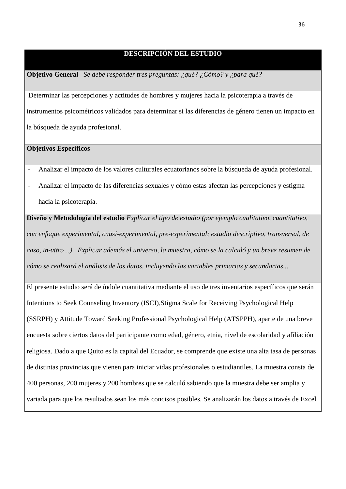## **DESCRIPCIÓN DEL ESTUDIO**

**Objetivo General** *Se debe responder tres preguntas: ¿qué? ¿Cómo? y ¿para qué?*

Determinar las percepciones y actitudes de hombres y mujeres hacia la psicoterapia a través de instrumentos psicométricos validados para determinar si las diferencias de género tienen un impacto en la búsqueda de ayuda profesional.

## **Objetivos Específicos**

- Analizar el impacto de los valores culturales ecuatorianos sobre la búsqueda de ayuda profesional.
- Analizar el impacto de las diferencias sexuales y cómo estas afectan las percepciones y estigma hacia la psicoterapia.

**Diseño y Metodología del estudio** *Explicar el tipo de estudio (por ejemplo cualitativo, cuantitativo, con enfoque experimental, cuasi-experimental, pre-experimental; estudio descriptivo, transversal, de caso, in-vitro…) Explicar además el universo, la muestra, cómo se la calculó y un breve resumen de cómo se realizará el análisis de los datos, incluyendo las variables primarias y secundarias...*

El presente estudio será de índole cuantitativa mediante el uso de tres inventarios específicos que serán Intentions to Seek Counseling Inventory (ISCI),Stigma Scale for Receiving Psychological Help (SSRPH) y Attitude Toward Seeking Professional Psychological Help (ATSPPH), aparte de una breve encuesta sobre ciertos datos del participante como edad, género, etnia, nivel de escolaridad y afiliación religiosa. Dado a que Quito es la capital del Ecuador, se comprende que existe una alta tasa de personas de distintas provincias que vienen para iniciar vidas profesionales o estudiantiles. La muestra consta de 400 personas, 200 mujeres y 200 hombres que se calculó sabiendo que la muestra debe ser amplia y variada para que los resultados sean los más concisos posibles. Se analizarán los datos a través de Excel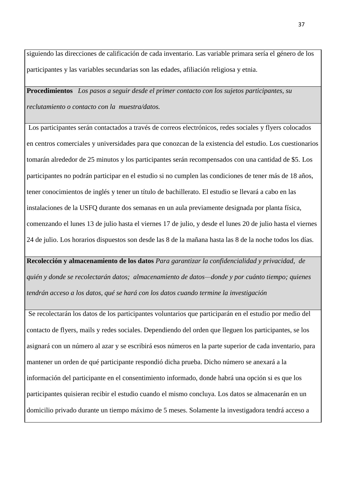siguiendo las direcciones de calificación de cada inventario. Las variable primara sería el género de los participantes y las variables secundarias son las edades, afiliación religiosa y etnia.

**Procedimientos** *Los pasos a seguir desde el primer contacto con los sujetos participantes, su reclutamiento o contacto con la muestra/datos.*

Los participantes serán contactados a través de correos electrónicos, redes sociales y flyers colocados en centros comerciales y universidades para que conozcan de la existencia del estudio. Los cuestionarios tomarán alrededor de 25 minutos y los participantes serán recompensados con una cantidad de \$5. Los participantes no podrán participar en el estudio si no cumplen las condiciones de tener más de 18 años, tener conocimientos de inglés y tener un título de bachillerato. El estudio se llevará a cabo en las instalaciones de la USFQ durante dos semanas en un aula previamente designada por planta física, comenzando el lunes 13 de julio hasta el viernes 17 de julio, y desde el lunes 20 de julio hasta el viernes 24 de julio. Los horarios dispuestos son desde las 8 de la mañana hasta las 8 de la noche todos los días.

**Recolección y almacenamiento de los datos** *Para garantizar la confidencialidad y privacidad, de quién y donde se recolectarán datos; almacenamiento de datos—donde y por cuánto tiempo; quienes tendrán acceso a los datos, qué se hará con los datos cuando termine la investigación*

Se recolectarán los datos de los participantes voluntarios que participarán en el estudio por medio del contacto de flyers, mails y redes sociales. Dependiendo del orden que lleguen los participantes, se los asignará con un número al azar y se escribirá esos números en la parte superior de cada inventario, para mantener un orden de qué participante respondió dicha prueba. Dicho número se anexará a la información del participante en el consentimiento informado, donde habrá una opción si es que los participantes quisieran recibir el estudio cuando el mismo concluya. Los datos se almacenarán en un domicilio privado durante un tiempo máximo de 5 meses. Solamente la investigadora tendrá acceso a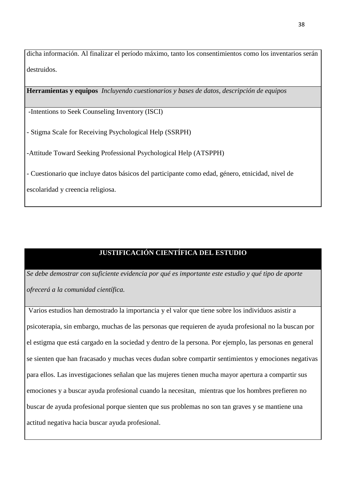dicha información. Al finalizar el período máximo, tanto los consentimientos como los inventarios serán destruidos.

**Herramientas y equipos** *Incluyendo cuestionarios y bases de datos, descripción de equipos*

-Intentions to Seek Counseling Inventory (ISCI)

- Stigma Scale for Receiving Psychological Help (SSRPH)

-Attitude Toward Seeking Professional Psychological Help (ATSPPH)

- Cuestionario que incluye datos básicos del participante como edad, género, etnicidad, nivel de

escolaridad y creencia religiosa.

## **JUSTIFICACIÓN CIENTÍFICA DEL ESTUDIO**

*Se debe demostrar con suficiente evidencia por qué es importante este estudio y qué tipo de aporte ofrecerá a la comunidad científica.*

Varios estudios han demostrado la importancia y el valor que tiene sobre los individuos asistir a psicoterapia, sin embargo, muchas de las personas que requieren de ayuda profesional no la buscan por el estigma que está cargado en la sociedad y dentro de la persona. Por ejemplo, las personas en general se sienten que han fracasado y muchas veces dudan sobre compartir sentimientos y emociones negativas para ellos. Las investigaciones señalan que las mujeres tienen mucha mayor apertura a compartir sus emociones y a buscar ayuda profesional cuando la necesitan, mientras que los hombres prefieren no buscar de ayuda profesional porque sienten que sus problemas no son tan graves y se mantiene una actitud negativa hacia buscar ayuda profesional.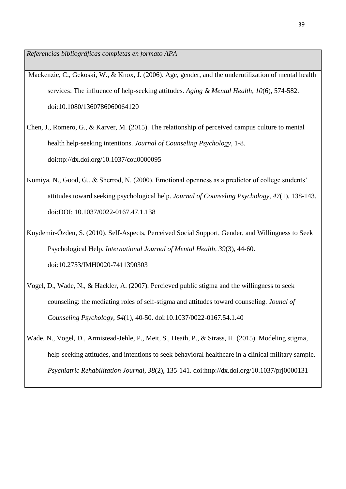*Referencias bibliográficas completas en formato APA*

- Mackenzie, C., Gekoski, W., & Knox, J. (2006). Age, gender, and the underutilization of mental health services: The influence of help-seeking attitudes. *Aging & Mental Health, 10*(6), 574-582. doi:10.1080/1360786060064120
- Chen, J., Romero, G., & Karver, M. (2015). The relationship of perceived campus culture to mental health help-seeking intentions. *Journal of Counseling Psychology*, 1-8. doi:ttp://dx.doi.org/10.1037/cou0000095
- Komiya, N., Good, G., & Sherrod, N. (2000). Emotional openness as a predictor of college students' attitudes toward seeking psychological help. *Journal of Counseling Psychology, 47*(1), 138-143. doi:DOI: 10.1037/0022-0167.47.1.138
- Koydemir-Özden, S. (2010). Self-Aspects, Perceived Social Support, Gender, and Willingness to Seek Psychological Help. *International Journal of Mental Health, 39*(3), 44-60. doi:10.2753/IMH0020-7411390303
- Vogel, D., Wade, N., & Hackler, A. (2007). Percieved public stigma and the willingness to seek counseling: the mediating roles of self-stigma and attitudes toward counseling. *Jounal of Counseling Psychology, 54*(1), 40-50. doi:10.1037/0022-0167.54.1.40
- Wade, N., Vogel, D., Armistead-Jehle, P., Meit, S., Heath, P., & Strass, H. (2015). Modeling stigma, help-seeking attitudes, and intentions to seek behavioral healthcare in a clinical military sample. *Psychiatric Rehabilitation Journal, 38*(2), 135-141. doi:http://dx.doi.org/10.1037/prj0000131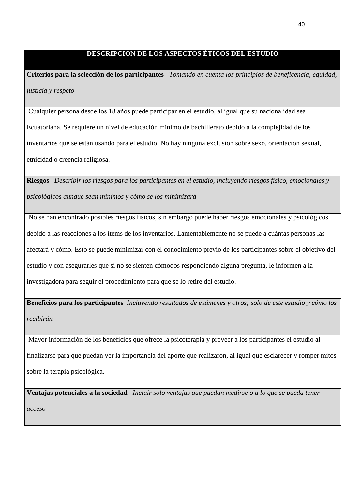## **DESCRIPCIÓN DE LOS ASPECTOS ÉTICOS DEL ESTUDIO**

**Criterios para la selección de los participantes** *Tomando en cuenta los principios de beneficencia, equidad, justicia y respeto*

Cualquier persona desde los 18 años puede participar en el estudio, al igual que su nacionalidad sea Ecuatoriana. Se requiere un nivel de educación mínimo de bachillerato debido a la complejidad de los inventarios que se están usando para el estudio. No hay ninguna exclusión sobre sexo, orientación sexual, etnicidad o creencia religiosa.

**Riesgos** *Describir los riesgos para los participantes en el estudio, incluyendo riesgos físico, emocionales y psicológicos aunque sean mínimos y cómo se los minimizará*

No se han encontrado posibles riesgos físicos, sin embargo puede haber riesgos emocionales y psicológicos debido a las reacciones a los ítems de los inventarios. Lamentablemente no se puede a cuántas personas las afectará y cómo. Esto se puede minimizar con el conocimiento previo de los participantes sobre el objetivo del estudio y con asegurarles que si no se sienten cómodos respondiendo alguna pregunta, le informen a la investigadora para seguir el procedimiento para que se lo retire del estudio.

**Beneficios para los participantes** *Incluyendo resultados de exámenes y otros; solo de este estudio y cómo los recibirán*

Mayor información de los beneficios que ofrece la psicoterapia y proveer a los participantes el estudio al finalizarse para que puedan ver la importancia del aporte que realizaron, al igual que esclarecer y romper mitos sobre la terapia psicológica.

**Ventajas potenciales a la sociedad** *Incluir solo ventajas que puedan medirse o a lo que se pueda tener acceso*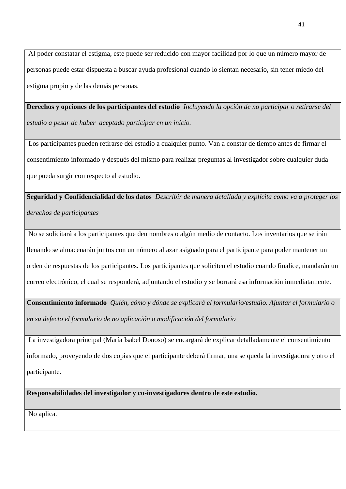Al poder constatar el estigma, este puede ser reducido con mayor facilidad por lo que un número mayor de personas puede estar dispuesta a buscar ayuda profesional cuando lo sientan necesario, sin tener miedo del estigma propio y de las demás personas.

**Derechos y opciones de los participantes del estudio** *Incluyendo la opción de no participar o retirarse del estudio a pesar de haber aceptado participar en un inicio.*

Los participantes pueden retirarse del estudio a cualquier punto. Van a constar de tiempo antes de firmar el consentimiento informado y después del mismo para realizar preguntas al investigador sobre cualquier duda que pueda surgir con respecto al estudio.

**Seguridad y Confidencialidad de los datos** *Describir de manera detallada y explícita como va a proteger los derechos de participantes*

No se solicitará a los participantes que den nombres o algún medio de contacto. Los inventarios que se irán llenando se almacenarán juntos con un número al azar asignado para el participante para poder mantener un orden de respuestas de los participantes. Los participantes que soliciten el estudio cuando finalice, mandarán un correo electrónico, el cual se responderá, adjuntando el estudio y se borrará esa información inmediatamente.

**Consentimiento informado** *Quién, cómo y dónde se explicará el formulario/estudio. Ajuntar el formulario o en su defecto el formulario de no aplicación o modificación del formulario*

La investigadora principal (María Isabel Donoso) se encargará de explicar detalladamente el consentimiento informado, proveyendo de dos copias que el participante deberá firmar, una se queda la investigadora y otro el participante.

**Responsabilidades del investigador y co-investigadores dentro de este estudio.**

No aplica.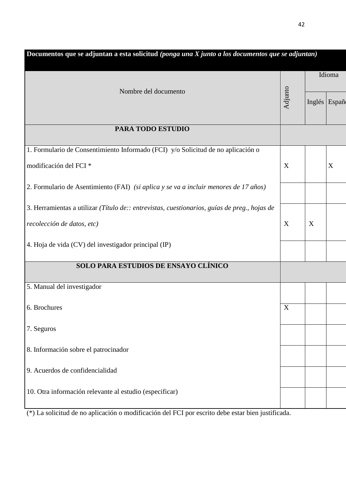| Documentos que se adjuntan a esta solicitud (ponga una X junto a los documentos que se adjuntan) |         |   |               |  |
|--------------------------------------------------------------------------------------------------|---------|---|---------------|--|
| Nombre del documento                                                                             |         |   | Idioma        |  |
|                                                                                                  | Adjunto |   | Inglés Españo |  |
| PARA TODO ESTUDIO                                                                                |         |   |               |  |
| 1. Formulario de Consentimiento Informado (FCI) y/o Solicitud de no aplicación o                 |         |   |               |  |
| modificación del FCI <sup>*</sup>                                                                | X       |   | X             |  |
| 2. Formulario de Asentimiento (FAI) (si aplica y se va a incluir menores de 17 años)             |         |   |               |  |
| 3. Herramientas a utilizar (Título de:: entrevistas, cuestionarios, guías de preg., hojas de     |         |   |               |  |
| recolección de datos, etc)                                                                       | X       | X |               |  |
| 4. Hoja de vida (CV) del investigador principal (IP)                                             |         |   |               |  |
| SOLO PARA ESTUDIOS DE ENSAYO CLÍNICO                                                             |         |   |               |  |
| 5. Manual del investigador                                                                       |         |   |               |  |
| 6. Brochures                                                                                     | X       |   |               |  |
| 7. Seguros                                                                                       |         |   |               |  |
| 8. Información sobre el patrocinador                                                             |         |   |               |  |
| 9. Acuerdos de confidencialidad                                                                  |         |   |               |  |
| 10. Otra información relevante al estudio (especificar)                                          |         |   |               |  |
|                                                                                                  |         |   |               |  |

(\*) La solicitud de no aplicación o modificación del FCI por escrito debe estar bien justificada.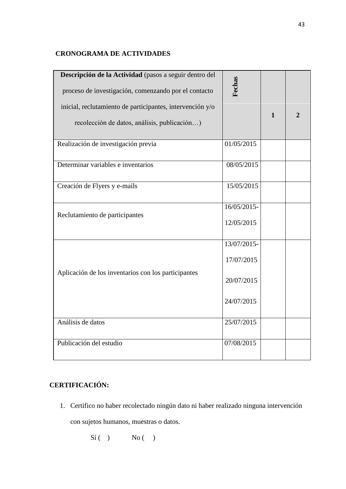## **CRONOGRAMA DE ACTIVIDADES**

| Descripción de la Actividad (pasos a seguir dentro del    | Fechas      |              |                |
|-----------------------------------------------------------|-------------|--------------|----------------|
| proceso de investigación, comenzando por el contacto      |             |              |                |
| inicial, reclutamiento de participantes, intervención y/o |             | $\mathbf{1}$ | $\overline{2}$ |
| recolección de datos, análisis, publicación)              |             |              |                |
| Realización de investigación previa                       | 01/05/2015  |              |                |
| Determinar variables e inventarios                        | 08/05/2015  |              |                |
| Creación de Flyers y e-mails                              | 15/05/2015  |              |                |
| Reclutamiento de participantes                            | 16/05/2015- |              |                |
|                                                           | 12/05/2015  |              |                |
|                                                           | 13/07/2015- |              |                |
|                                                           | 17/07/2015  |              |                |
| Aplicación de los inventarios con los participantes       | 20/07/2015  |              |                |
|                                                           | 24/07/2015  |              |                |
| Análisis de datos                                         | 25/07/2015  |              |                |
| Publicación del estudio                                   | 07/08/2015  |              |                |

# **CERTIFICACIÓN:**

1. Certifico no haber recolectado ningún dato ni haber realizado ninguna intervención

con sujetos humanos, muestras o datos.

 $Si( )$  No ()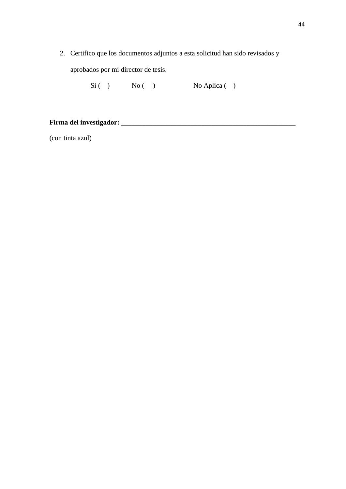2. Certifico que los documentos adjuntos a esta solicitud han sido revisados y aprobados por mi director de tesis.

 $Si( )$  No ( ) No Aplica ( )

## **Firma del investigador: \_\_\_\_\_\_\_\_\_\_\_\_\_\_\_\_\_\_\_\_\_\_\_\_\_\_\_\_\_\_\_\_\_\_\_\_\_\_\_\_\_\_\_\_\_\_\_\_\_\_**

(con tinta azul)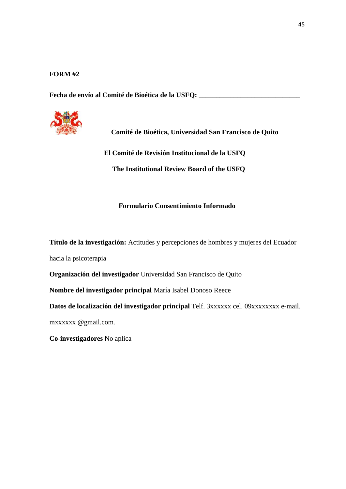## **FORM #2**

**Fecha de envío al Comité de Bioética de la USFQ: \_\_\_\_\_\_\_\_\_\_\_\_\_\_\_\_\_\_\_\_\_\_\_\_\_\_\_\_\_**



**Comité de Bioética, Universidad San Francisco de Quito**

 **El Comité de Revisión Institucional de la USFQ**

 **The Institutional Review Board of the USFQ**

## **Formulario Consentimiento Informado**

**Título de la investigación:** Actitudes y percepciones de hombres y mujeres del Ecuador

hacia la psicoterapia

**Organización del investigador** Universidad San Francisco de Quito

**Nombre del investigador principal** María Isabel Donoso Reece

**Datos de localización del investigador principal** Telf. 3xxxxxx cel. 09xxxxxxxx e-mail.

mxxxxxx @gmail.com*.*

**Co-investigadores** No aplica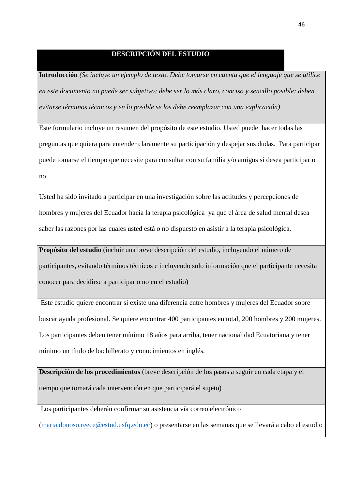## **DESCRIPCIÓN DEL ESTUDIO**

**Introducción** *(Se incluye un ejemplo de texto. Debe tomarse en cuenta que el lenguaje que se utilice en este documento no puede ser subjetivo; debe ser lo más claro, conciso y sencillo posible; deben evitarse términos técnicos y en lo posible se los debe reemplazar con una explicación)*

Este formulario incluye un resumen del propósito de este estudio. Usted puede hacer todas las preguntas que quiera para entender claramente su participación y despejar sus dudas. Para participar puede tomarse el tiempo que necesite para consultar con su familia y/o amigos si desea participar o no.

Usted ha sido invitado a participar en una investigación sobre las actitudes y percepciones de hombres y mujeres del Ecuador hacia la terapia psicológica ya que el área de salud mental desea saber las razones por las cuales usted está o no dispuesto en asistir a la terapia psicológica.

**Propósito del estudio** (incluir una breve descripción del estudio, incluyendo el número de

participantes, evitando términos técnicos e incluyendo solo información que el participante necesita conocer para decidirse a participar o no en el estudio)

Este estudio quiere encontrar si existe una diferencia entre hombres y mujeres del Ecuador sobre buscar ayuda profesional. Se quiere encontrar 400 participantes en total, 200 hombres y 200 mujeres. Los participantes deben tener mínimo 18 años para arriba, tener nacionalidad Ecuatoriana y tener mínimo un título de bachillerato y conocimientos en inglés.

**Descripción de los procedimientos** (breve descripción de los pasos a seguir en cada etapa y el tiempo que tomará cada intervención en que participará el sujeto)

Los participantes deberán confirmar su asistencia vía correo electrónico

[\(maria.donoso.reece@estud.usfq.edu.ec\)](mailto:maria.donoso.reece@estud.usfq.edu.ec) o presentarse en las semanas que se llevará a cabo el estudio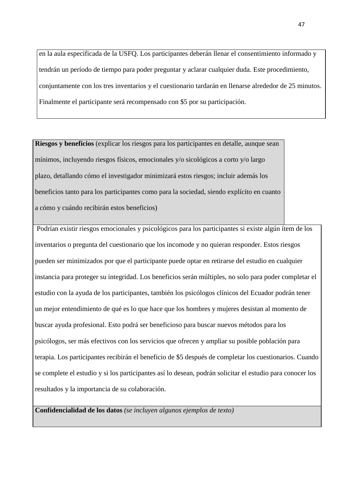en la aula especificada de la USFQ. Los participantes deberán llenar el consentimiento informado y tendrán un período de tiempo para poder preguntar y aclarar cualquier duda. Este procedimiento, conjuntamente con los tres inventarios y el cuestionario tardarán en llenarse alrededor de 25 minutos. Finalmente el participante será recompensado con \$5 por su participación.

**Riesgos y beneficios** (explicar los riesgos para los participantes en detalle, aunque sean mínimos, incluyendo riesgos físicos, emocionales y/o sicológicos a corto y/o largo plazo, detallando cómo el investigador minimizará estos riesgos; incluir además los beneficios tanto para los participantes como para la sociedad, siendo explícito en cuanto a cómo y cuándo recibirán estos beneficios)

Podrían existir riesgos emocionales y psicológicos para los participantes si existe algún ítem de los inventarios o pregunta del cuestionario que los incomode y no quieran responder. Estos riesgos pueden ser minimizados por que el participante puede optar en retirarse del estudio en cualquier instancia para proteger su integridad. Los beneficios serán múltiples, no solo para poder completar el estudio con la ayuda de los participantes, también los psicólogos clínicos del Ecuador podrán tener un mejor entendimiento de qué es lo que hace que los hombres y mujeres desistan al momento de buscar ayuda profesional. Esto podrá ser beneficioso para buscar nuevos métodos para los psicólogos, ser más efectivos con los servicios que ofrecen y ampliar su posible población para terapia. Los participantes recibirán el beneficio de \$5 después de completar los cuestionarios. Cuando se complete el estudio y si los participantes así lo desean, podrán solicitar el estudio para conocer los resultados y la importancia de su colaboración.

**Confidencialidad de los datos** *(se incluyen algunos ejemplos de texto)*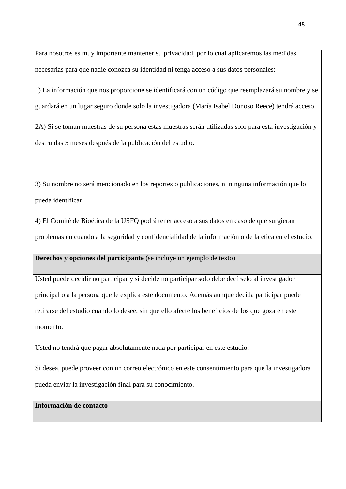Para nosotros es muy importante mantener su privacidad, por lo cual aplicaremos las medidas necesarias para que nadie conozca su identidad ni tenga acceso a sus datos personales:

1) La información que nos proporcione se identificará con un código que reemplazará su nombre y se guardará en un lugar seguro donde solo la investigadora (María Isabel Donoso Reece) tendrá acceso.

2A) Si se toman muestras de su persona estas muestras serán utilizadas solo para esta investigación y destruidas 5 meses después de la publicación del estudio.

3) Su nombre no será mencionado en los reportes o publicaciones, ni ninguna información que lo pueda identificar.

4) El Comité de Bioética de la USFQ podrá tener acceso a sus datos en caso de que surgieran problemas en cuando a la seguridad y confidencialidad de la información o de la ética en el estudio.

## **Derechos y opciones del participante** (se incluye un ejemplo de texto)

Usted puede decidir no participar y si decide no participar solo debe decírselo al investigador principal o a la persona que le explica este documento. Además aunque decida participar puede retirarse del estudio cuando lo desee, sin que ello afecte los beneficios de los que goza en este momento.

Usted no tendrá que pagar absolutamente nada por participar en este estudio.

Si desea, puede proveer con un correo electrónico en este consentimiento para que la investigadora pueda enviar la investigación final para su conocimiento.

## **Información de contacto**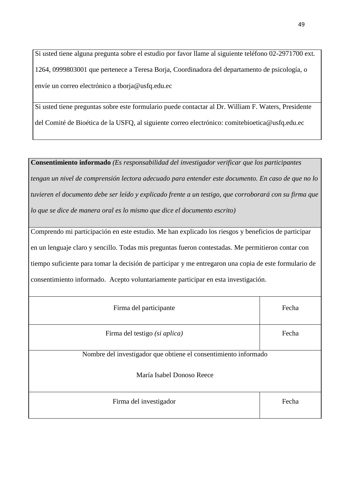Si usted tiene alguna pregunta sobre el estudio por favor llame al siguiente teléfono 02-2971700 ext. 1264, 0999803001 que pertenece a Teresa Borja, Coordinadora del departamento de psicología, o envíe un correo electrónico a tborja@usfq.edu.ec

Si usted tiene preguntas sobre este formulario puede contactar al Dr. William F. Waters, Presidente del Comité de Bioética de la USFQ, al siguiente correo electrónico: comitebioetica@usfq.edu.ec

**Consentimiento informado** *(Es responsabilidad del investigador verificar que los participantes tengan un nivel de comprensión lectora adecuado para entender este documento. En caso de que no lo tuvieren el documento debe ser leído y explicado frente a un testigo, que corroborará con su firma que lo que se dice de manera oral es lo mismo que dice el documento escrito)* Comprendo mi participación en este estudio. Me han explicado los riesgos y beneficios de participar en un lenguaje claro y sencillo. Todas mis preguntas fueron contestadas. Me permitieron contar con tiempo suficiente para tomar la decisión de participar y me entregaron una copia de este formulario de consentimiento informado. Acepto voluntariamente participar en esta investigación. Firma del participante Fecha Firma del testigo *(si aplica)* Fecha

Nombre del investigador que obtiene el consentimiento informado

María Isabel Donoso Reece

| Firma del investigador | Fecha |
|------------------------|-------|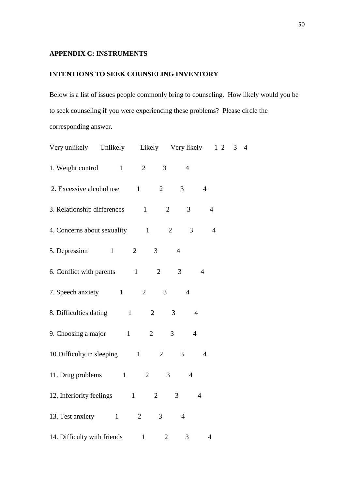## **APPENDIX C: INSTRUMENTS**

## **INTENTIONS TO SEEK COUNSELING INVENTORY**

Below is a list of issues people commonly bring to counseling. How likely would you be to seek counseling if you were experiencing these problems? Please circle the corresponding answer.

| Very unlikely Unlikely Likely Very likely 12 |                                                    | 3 <sub>4</sub> |
|----------------------------------------------|----------------------------------------------------|----------------|
| 1. Weight control 1<br>$\overline{2}$        | 3<br>$\overline{4}$                                |                |
| 2. Excessive alcohol use 1                   | $\overline{2}$<br>3 <sup>7</sup><br>$\overline{4}$ |                |
| 3. Relationship differences 1                | $\mathbf{2}$<br>3                                  | $\overline{4}$ |
| 4. Concerns about sexuality 1                | $\overline{2}$<br>3                                | $\overline{4}$ |
| 5. Depression 1<br>$\overline{2}$            | $\mathfrak{Z}$<br>$\overline{4}$                   |                |
| 6. Conflict with parents 1                   | 3<br>$\overline{2}$<br>$\overline{4}$              |                |
| 7. Speech anxiety 1<br>2                     | 3<br>$\overline{4}$                                |                |
| 8. Difficulties dating 1                     | $\overline{2}$<br>3<br>$\overline{4}$              |                |
| 9. Choosing a major $1$                      | $\overline{2}$<br>$\mathfrak{Z}$<br>$\overline{4}$ |                |
| 10 Difficulty in sleeping 1                  | $\overline{2}$<br>3<br>$\overline{4}$              |                |
| 11. Drug problems 1<br>$\overline{2}$        | $\overline{3}$<br>$\overline{4}$                   |                |
| 12. Inferiority feelings 1                   | 3<br>$\overline{2}$<br>$\overline{4}$              |                |
| 13. Test anxiety<br>2<br>$\mathbf{1}$        | 3<br>$\overline{4}$                                |                |
| 14. Difficulty with friends 1                | $\overline{2}$<br>3                                | $\overline{4}$ |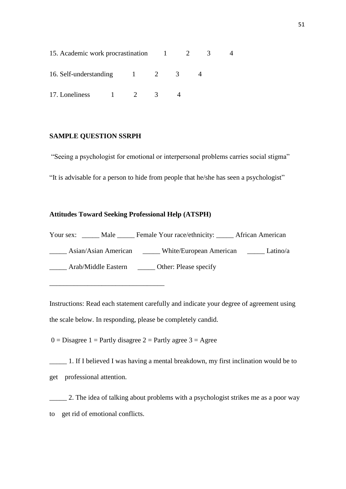| 15. Academic work procrastination |  |  |   |  |  |
|-----------------------------------|--|--|---|--|--|
| 16. Self-understanding            |  |  | 2 |  |  |
| 17. Loneliness                    |  |  |   |  |  |

### **SAMPLE QUESTION SSRPH**

"Seeing a psychologist for emotional or interpersonal problems carries social stigma" "It is advisable for a person to hide from people that he/she has seen a psychologist"

## **Attitudes Toward Seeking Professional Help (ATSPH)**

Your sex: \_\_\_\_\_ Male \_\_\_\_\_ Female Your race/ethnicity: \_\_\_\_\_ African American Asian/Asian American White/European American Latino/a \_\_\_\_\_ Arab/Middle Eastern \_\_\_\_\_ Other: Please specify \_\_\_\_\_\_\_\_\_\_\_\_\_\_\_\_\_\_\_\_\_\_\_\_\_\_\_\_\_\_\_\_\_

Instructions: Read each statement carefully and indicate your degree of agreement using the scale below. In responding, please be completely candid.

 $0 = Disagree 1 = Partly disagree 2 = Partly agree 3 = Agee$ 

\_\_\_\_\_ 1. If I believed I was having a mental breakdown, my first inclination would be to get professional attention.

2. The idea of talking about problems with a psychologist strikes me as a poor way to get rid of emotional conflicts.